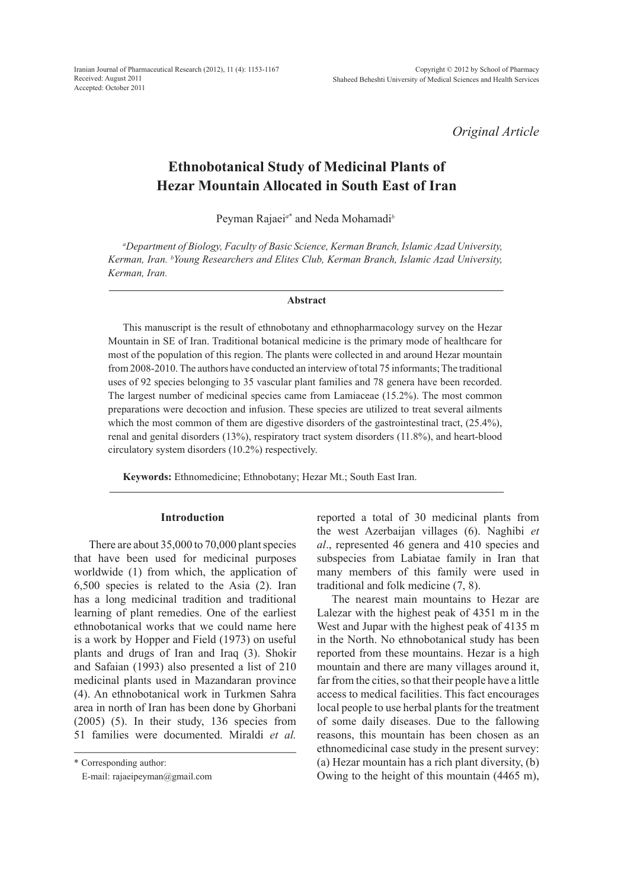Iranian Journal of Pharmaceutical Research (2012), 11 (4): 1153-1167 Received: August 2011 Accepted: October 2011

*Original Article*

# **Ethnobotanical Study of Medicinal Plants of Hezar Mountain Allocated in South East of Iran**

Peyman Rajaei*<sup>a</sup>*\* and Neda Mohamadi*<sup>b</sup>*

*a Department of Biology, Faculty of Basic Science, Kerman Branch, Islamic Azad University, Kerman, Iran. b Young Researchers and Elites Club, Kerman Branch, Islamic Azad University, Kerman, Iran.*

#### **Abstract**

This manuscript is the result of ethnobotany and ethnopharmacology survey on the Hezar Mountain in SE of Iran. Traditional botanical medicine is the primary mode of healthcare for most of the population of this region. The plants were collected in and around Hezar mountain from 2008-2010. The authors have conducted an interview of total 75 informants; The traditional uses of 92 species belonging to 35 vascular plant families and 78 genera have been recorded. The largest number of medicinal species came from Lamiaceae (15.2%). The most common preparations were decoction and infusion. These species are utilized to treat several ailments which the most common of them are digestive disorders of the gastrointestinal tract,  $(25.4\%)$ , renal and genital disorders (13%), respiratory tract system disorders (11.8%), and heart-blood circulatory system disorders (10.2%) respectively.

**Keywords:** Ethnomedicine; Ethnobotany; Hezar Mt.; South East Iran.

#### **Introduction**

There are about 35,000 to 70,000 plant species that have been used for medicinal purposes worldwide (1) from which, the application of 6,500 species is related to the Asia (2). Iran has a long medicinal tradition and traditional learning of plant remedies. One of the earliest ethnobotanical works that we could name here is a work by Hopper and Field (1973) on useful plants and drugs of Iran and Iraq (3). Shokir and Safaian (1993) also presented a list of 210 medicinal plants used in Mazandaran province (4). An ethnobotanical work in Turkmen Sahra area in north of Iran has been done by Ghorbani  $(2005)$   $(5)$ . In their study, 136 species from 51 families were documented. Miraldi *et al.* 

\* Corresponding author:

E-mail: rajaeipeyman@gmail.com

reported a total of 30 medicinal plants from the west Azerbaijan villages (6). Naghibi *et al*., represented 46 genera and 410 species and subspecies from Labiatae family in Iran that many members of this family were used in traditional and folk medicine (7, 8).

The nearest main mountains to Hezar are Lalezar with the highest peak of 4351 m in the West and Jupar with the highest peak of 4135 m in the North. No ethnobotanical study has been reported from these mountains. Hezar is a high mountain and there are many villages around it, far from the cities, so that their people have a little access to medical facilities. This fact encourages local people to use herbal plants for the treatment of some daily diseases. Due to the fallowing reasons, this mountain has been chosen as an ethnomedicinal case study in the present survey: (a) Hezar mountain has a rich plant diversity, (b) Owing to the height of this mountain (4465 m),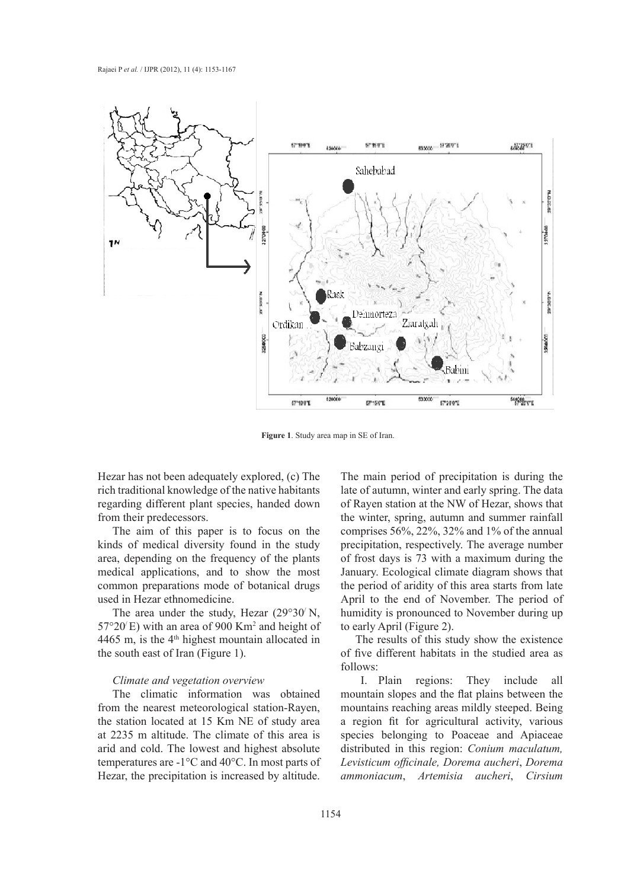

**Figure 1**. Study area map in SE of Iran.

Hezar has not been adequately explored, (c) The rich traditional knowledge of the native habitants regarding different plant species, handed down from their predecessors.

The aim of this paper is to focus on the kinds of medical diversity found in the study area, depending on the frequency of the plants medical applications, and to show the most common preparations mode of botanical drugs used in Hezar ethnomedicine.

The area under the study, Hezar  $(29°30' N,$  $57^{\circ}20'E$ ) with an area of 900 Km<sup>2</sup> and height of 4465 m, is the  $4<sup>th</sup>$  highest mountain allocated in the south east of Iran (Figure 1).

#### *Climate and vegetation overview*

The climatic information was obtained from the nearest meteorological station-Rayen, the station located at 15 Km NE of study area at 2235 m altitude. The climate of this area is arid and cold. The lowest and highest absolute temperatures are -1°C and 40°C. In most parts of Hezar, the precipitation is increased by altitude.

The main period of precipitation is during the late of autumn, winter and early spring. The data of Rayen station at the NW of Hezar, shows that the winter, spring, autumn and summer rainfall comprises 56%, 22%, 32% and 1% of the annual precipitation, respectively. The average number of frost days is 73 with a maximum during the January. Ecological climate diagram shows that the period of aridity of this area starts from late April to the end of November. The period of humidity is pronounced to November during up to early April (Figure 2).

The results of this study show the existence of five different habitats in the studied area as follows:

I. Plain regions: They include all mountain slopes and the flat plains between the mountains reaching areas mildly steeped. Being a region fit for agricultural activity, various species belonging to Poaceae and Apiaceae distributed in this region: *Conium maculatum, Levisticum officinale, Dorema aucheri*, *Dorema ammoniacum*, *Artemisia aucheri*, *Cirsium*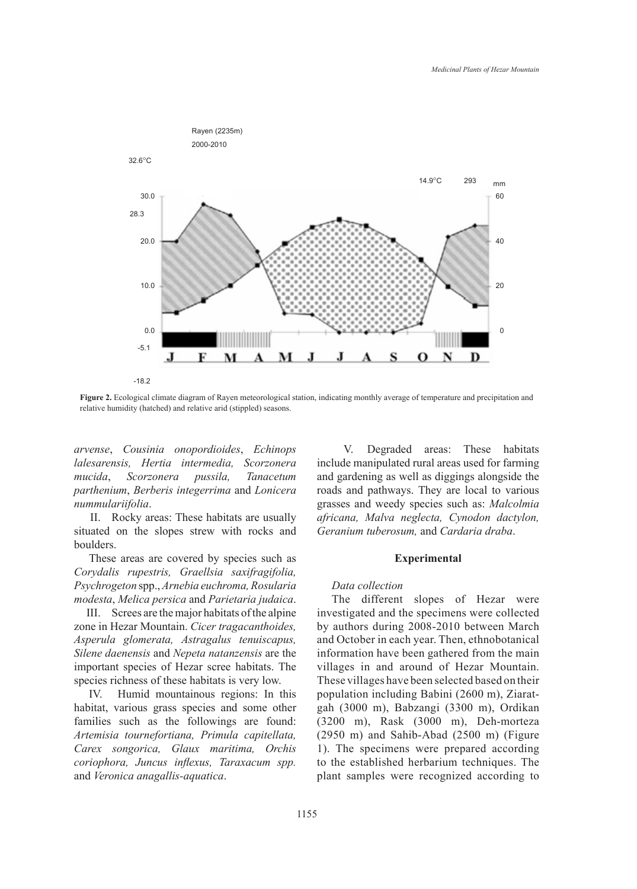

**Figure 2.** Ecological climate diagram of Rayen meteorological station, indicating monthly average of temperature and precipitation and relative humidity (hatched) and relative arid (stippled) seasons.

*arvense*, *Cousinia onopordioides*, *Echinops lalesarensis, Hertia intermedia, Scorzonera mucida*, *Scorzonera pussila, Tanacetum parthenium*, *Berberis integerrima* and *Lonicera nummulariifolia*.

II. Rocky areas: These habitats are usually situated on the slopes strew with rocks and boulders.

These areas are covered by species such as *Corydalis rupestris, Graellsia saxifragifolia, Psychrogeton* spp., *Arnebia euchroma, Rosularia modesta*, *Melica persica* and *Parietaria judaica*.

III. Screes are the major habitats of the alpine zone in Hezar Mountain. *Cicer tragacanthoides, Asperula glomerata, Astragalus tenuiscapus, Silene daenensis* and *Nepeta natanzensis* are the important species of Hezar scree habitats. The species richness of these habitats is very low.

IV. Humid mountainous regions: In this habitat, various grass species and some other families such as the followings are found: *Artemisia tournefortiana, Primula capitellata, Carex songorica, Glaux maritima, Orchis coriophora, Juncus inflexus, Taraxacum spp.*  and *Veronica anagallis-aquatica*.

V. Degraded areas: These habitats include manipulated rural areas used for farming and gardening as well as diggings alongside the roads and pathways. They are local to various grasses and weedy species such as: *Malcolmia africana, Malva neglecta, Cynodon dactylon, Geranium tuberosum,* and *Cardaria draba*.

#### **Experimental**

### *Data collection*

The different slopes of Hezar were investigated and the specimens were collected by authors during 2008-2010 between March and October in each year. Then, ethnobotanical information have been gathered from the main villages in and around of Hezar Mountain. These villages have been selected based on their population including Babini (2600 m), Ziaratgah (3000 m), Babzangi (3300 m), Ordikan (3200 m), Rask (3000 m), Deh-morteza (2950 m) and Sahib-Abad (2500 m) (Figure 1). The specimens were prepared according to the established herbarium techniques. The plant samples were recognized according to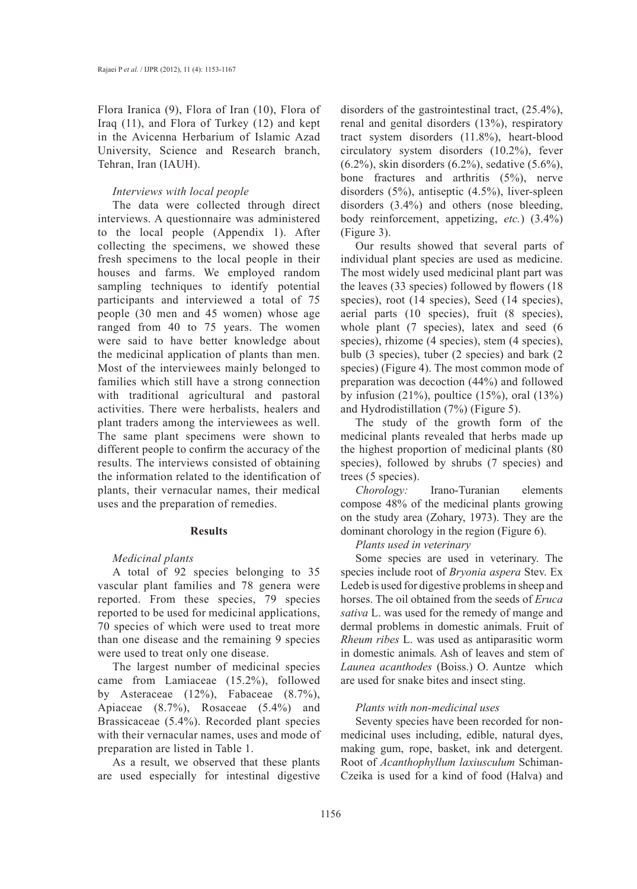Flora Iranica (9), Flora of Iran (10), Flora of Iraq (11), and Flora of Turkey (12) and kept in the Avicenna Herbarium of Islamic Azad University, Science and Research branch, Tehran, Iran (IAUH).

#### *Interviews with local people*

The data were collected through direct interviews. A questionnaire was administered to the local people (Appendix 1). After collecting the specimens, we showed these fresh specimens to the local people in their houses and farms. We employed random sampling techniques to identify potential participants and interviewed a total of 75 people (30 men and 45 women) whose age ranged from 40 to 75 years. The women were said to have better knowledge about the medicinal application of plants than men. Most of the interviewees mainly belonged to families which still have a strong connection with traditional agricultural and pastoral activities. There were herbalists, healers and plant traders among the interviewees as well. The same plant specimens were shown to different people to confirm the accuracy of the results. The interviews consisted of obtaining the information related to the identification of plants, their vernacular names, their medical uses and the preparation of remedies.

# **Results**

# *Medicinal plants*

A total of 92 species belonging to 35 vascular plant families and 78 genera were reported. From these species, 79 species reported to be used for medicinal applications, 70 species of which were used to treat more than one disease and the remaining 9 species were used to treat only one disease.

The largest number of medicinal species came from Lamiaceae (15.2%), followed by Asteraceae (12%), Fabaceae (8.7%), Apiaceae (8.7%), Rosaceae (5.4%) and Brassicaceae (5.4%). Recorded plant species with their vernacular names, uses and mode of preparation are listed in Table 1.

As a result, we observed that these plants are used especially for intestinal digestive

disorders of the gastrointestinal tract, (25.4%), renal and genital disorders (13%), respiratory tract system disorders (11.8%), heart-blood circulatory system disorders (10.2%), fever (6.2%), skin disorders (6.2%), sedative (5.6%), bone fractures and arthritis (5%), nerve disorders (5%), antiseptic (4.5%), liver-spleen disorders (3.4%) and others (nose bleeding, body reinforcement, appetizing, *etc.*) (3.4%) (Figure 3).

Our results showed that several parts of individual plant species are used as medicine. The most widely used medicinal plant part was the leaves (33 species) followed by flowers (18 species), root (14 species), Seed (14 species), aerial parts (10 species), fruit (8 species), whole plant (7 species), latex and seed (6 species), rhizome (4 species), stem (4 species), bulb (3 species), tuber (2 species) and bark (2 species) (Figure 4). The most common mode of preparation was decoction (44%) and followed by infusion  $(21\%)$ , poultice  $(15\%)$ , oral  $(13\%)$ and Hydrodistillation (7%) (Figure 5).

The study of the growth form of the medicinal plants revealed that herbs made up the highest proportion of medicinal plants (80 species), followed by shrubs (7 species) and trees (5 species).

*Chorology:* Irano-Turanian elements compose 48% of the medicinal plants growing on the study area (Zohary, 1973). They are the dominant chorology in the region (Figure 6).

*Plants used in veterinary*

Some species are used in veterinary. The species include root of *Bryonia aspera* Stev. Ex Ledeb is used for digestive problems in sheep and horses. The oil obtained from the seeds of *Eruca sativa* L. was used for the remedy of mange and dermal problems in domestic animals. Fruit of *Rheum ribes* L. was used as antiparasitic worm in domestic animals*.* Ash of leaves and stem of *Launea acanthodes* (Boiss.) O. Auntze which are used for snake bites and insect sting.

# *Plants with non-medicinal uses*

Seventy species have been recorded for nonmedicinal uses including, edible, natural dyes, making gum, rope, basket, ink and detergent. Root of *Acanthophyllum laxiusculum* Schiman-Czeika is used for a kind of food (Halva) and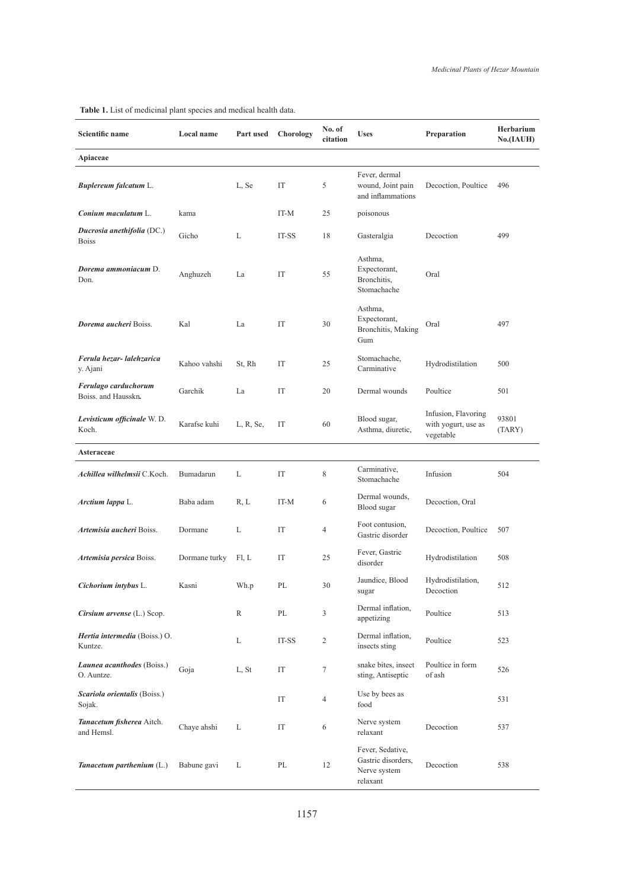| Scientific name                             | Local name    | Part used   | Chorology              | No. of<br>citation | <b>Uses</b>                                                        | Preparation                                             | Herbarium<br>No.(IAUH) |
|---------------------------------------------|---------------|-------------|------------------------|--------------------|--------------------------------------------------------------------|---------------------------------------------------------|------------------------|
| Apiaceae                                    |               |             |                        |                    |                                                                    |                                                         |                        |
| <b>Buplereum falcatum L.</b>                |               | L, Se       | IT                     | 5                  | Fever, dermal<br>wound, Joint pain<br>and inflammations            | Decoction, Poultice                                     | 496                    |
| Conium maculatum L.                         | kama          |             | IT-M                   | 25                 | poisonous                                                          |                                                         |                        |
| Ducrosia anethifolia (DC.)<br><b>Boiss</b>  | Gicho         | L           | IT-SS                  | 18                 | Gasteralgia                                                        | Decoction                                               | 499                    |
| Dorema ammoniacum D.<br>Don.                | Anghuzeh      | La          | IT                     | 55                 | Asthma,<br>Expectorant,<br>Bronchitis,<br>Stomachache              | Oral                                                    |                        |
| Dorema aucheri Boiss.                       | Kal           | La          | IT                     | 30                 | Asthma,<br>Expectorant,<br>Bronchitis, Making<br>Gum               | Oral                                                    | 497                    |
| Ferula hezar-lalehzarica<br>y. Ajani        | Kahoo vahshi  | St, Rh      | IT                     | 25                 | Stomachache,<br>Carminative                                        | Hydrodistilation                                        | 500                    |
| Ferulago carduchorum<br>Boiss. and Hausskn. | Garchik       | La          | IT                     | 20                 | Dermal wounds                                                      | Poultice                                                | 501                    |
| Levisticum officinale W.D.<br>Koch.         | Karafse kuhi  | L, R, Se,   | IT                     | 60                 | Blood sugar,<br>Asthma, diuretic,                                  | Infusion, Flavoring<br>with yogurt, use as<br>vegetable | 93801<br>(TARY)        |
| Asteraceae                                  |               |             |                        |                    |                                                                    |                                                         |                        |
| Achillea wilhelmsii C.Koch.                 | Bumadarun     | L           | IT                     | 8                  | Carminative,<br>Stomachache                                        | Infusion                                                | 504                    |
| <i>Arctium lappa L.</i>                     | Baba adam     | R, L        | IT-M                   | 6                  | Dermal wounds,<br>Blood sugar                                      | Decoction, Oral                                         |                        |
| Artemisia aucheri Boiss.                    | Dormane       | L           | IT                     | 4                  | Foot contusion,<br>Gastric disorder                                | Decoction, Poultice                                     | 507                    |
| Artemisia persica Boiss.                    | Dormane turky | FI, L       | IT                     | 25                 | Fever, Gastric<br>disorder                                         | Hydrodistilation                                        | 508                    |
| Cichorium intybus L.                        | Kasni         | Wh.p        | $\mathbf{P}\mathbf{L}$ | $30\,$             | Jaundice, Blood<br>sugar                                           | Hydrodistilation,<br>Decoction                          | 512                    |
| Cirsium arvense (L.) Scop.                  |               | R           | PL                     | 3                  | Dermal inflation,<br>appetizing                                    | Poultice                                                | 513                    |
| Hertia intermedia (Boiss.) O.<br>Kuntze.    |               | $\mathbf L$ | IT-SS                  | 2                  | Dermal inflation,<br>insects sting                                 | Poultice                                                | 523                    |
| Launea acanthodes (Boiss.)<br>O. Auntze.    | Goja          | L, St       | IT                     | $\tau$             | snake bites, insect<br>sting, Antiseptic                           | Poultice in form<br>of ash                              | 526                    |
| Scariola orientalis (Boiss.)<br>Sojak.      |               |             | IT                     | 4                  | Use by bees as<br>food                                             |                                                         | 531                    |
| Tanacetum fisherea Aitch.<br>and Hemsl.     | Chaye ahshi   | L           | IT                     | 6                  | Nerve system<br>relaxant                                           | Decoction                                               | 537                    |
| Tanacetum parthenium $(L)$                  | Babune gavi   | L           | PL                     | 12                 | Fever, Sedative,<br>Gastric disorders,<br>Nerve system<br>relaxant | Decoction                                               | 538                    |

#### **Table 1.** List of medicinal plant species and medical health data.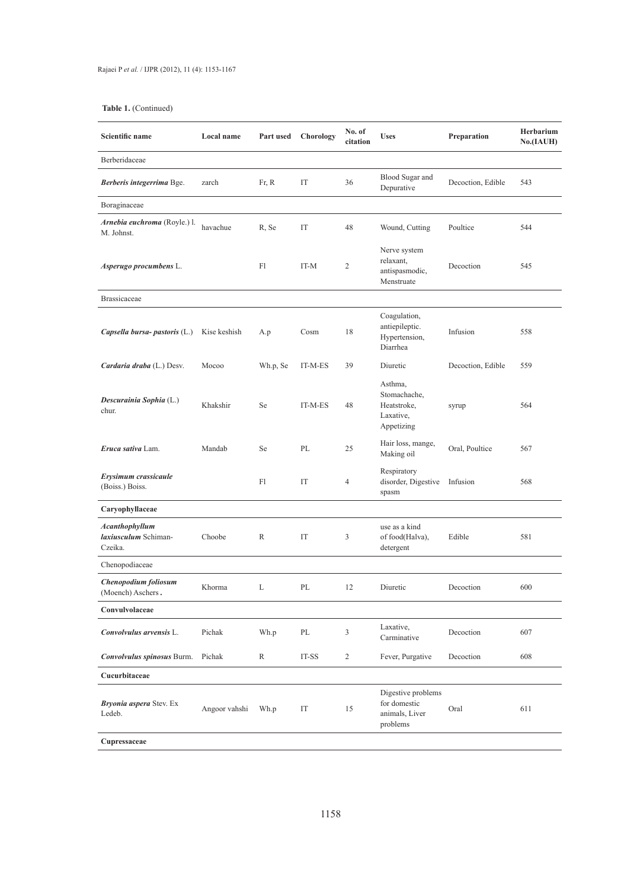| Scientific name                                          | Local name    | Part used | Chorology | No. of<br>citation | <b>Uses</b>                                                       | Preparation       | Herbarium<br>No.(IAUH) |
|----------------------------------------------------------|---------------|-----------|-----------|--------------------|-------------------------------------------------------------------|-------------------|------------------------|
| Berberidaceae                                            |               |           |           |                    |                                                                   |                   |                        |
| Berberis integerrima Bge.                                | zarch         | Fr, R     | IT        | 36                 | Blood Sugar and<br>Depurative                                     | Decoction, Edible | 543                    |
| Boraginaceae                                             |               |           |           |                    |                                                                   |                   |                        |
| Arnebia euchroma (Royle.) l.<br>M. Johnst.               | havachue      | R. Se     | IT        | 48                 | Wound, Cutting                                                    | Poultice          | 544                    |
| Asperugo procumbens L.                                   |               | Fl        | IT-M      | 2                  | Nerve system<br>relaxant,<br>antispasmodic,<br>Menstruate         | Decoction         | 545                    |
| <b>Brassicaceae</b>                                      |               |           |           |                    |                                                                   |                   |                        |
| Capsella bursa- pastoris $(L)$                           | Kise keshish  | A.p       | Cosm      | 18                 | Coagulation,<br>antiepileptic.<br>Hypertension,<br>Diarrhea       | Infusion          | 558                    |
| Cardaria draba (L.) Desv.                                | Mocoo         | Wh.p, Se  | IT-M-ES   | 39                 | Diuretic                                                          | Decoction, Edible | 559                    |
| Descurainia Sophia (L.)<br>chur.                         | Khakshir      | Se        | IT-M-ES   | 48                 | Asthma,<br>Stomachache,<br>Heatstroke,<br>Laxative,<br>Appetizing | syrup             | 564                    |
| Eruca sativa Lam.                                        | Mandab        | Se        | PL        | 25                 | Hair loss, mange,<br>Making oil                                   | Oral, Poultice    | 567                    |
| Erysimum crassicaule<br>(Boiss.) Boiss.                  |               | Fl        | IT        | 4                  | Respiratory<br>disorder, Digestive<br>spasm                       | Infusion          | 568                    |
| Caryophyllaceae                                          |               |           |           |                    |                                                                   |                   |                        |
| <b>Acanthophyllum</b><br>laxiusculum Schiman-<br>Czeika. | Choobe        | R         | IT        | 3                  | use as a kind<br>of food(Halva),<br>detergent                     | Edible            | 581                    |
| Chenopodiaceae                                           |               |           |           |                    |                                                                   |                   |                        |
| Chenopodium foliosum<br>(Moench) Aschers.                | Khorma        | L         | PL        | 12                 | Diuretic                                                          | Decoction         | 600                    |
| Convulvolaceae                                           |               |           |           |                    |                                                                   |                   |                        |
| Convolvulus arvensis L.                                  | Pichak        | Wh.p      | PL        | 3                  | Laxative,<br>Carminative                                          | Decoction         | 607                    |
| Convolvulus spinosus Burm.                               | Pichak        | R         | IT-SS     | $\overline{c}$     | Fever, Purgative                                                  | Decoction         | 608                    |
| Cucurbitaceae                                            |               |           |           |                    |                                                                   |                   |                        |
| Bryonia aspera Stev. Ex<br>Ledeb.                        | Angoor vahshi | Wh.p      | IT        | 15                 | Digestive problems<br>for domestic<br>animals, Liver<br>problems  | Oral              | 611                    |
| Cupressaceae                                             |               |           |           |                    |                                                                   |                   |                        |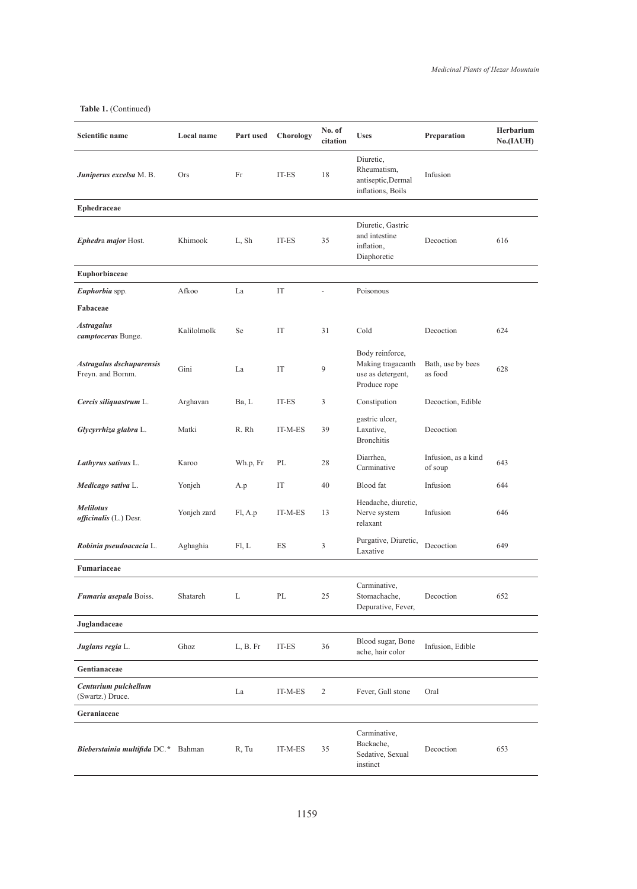| <b>Scientific name</b>                        | Local name  | Part used | Chorology | No. of<br>citation | <b>Uses</b>                                                               | Preparation                    | Herbarium<br>No.(IAUH) |
|-----------------------------------------------|-------------|-----------|-----------|--------------------|---------------------------------------------------------------------------|--------------------------------|------------------------|
| <b>Juniperus excelsa</b> M. B.                | <b>Ors</b>  | Fr        | IT-ES     | 18                 | Diuretic,<br>Rheumatism,<br>antiseptic, Dermal<br>inflations, Boils       | Infusion                       |                        |
| Ephedraceae                                   |             |           |           |                    |                                                                           |                                |                        |
| Ephedra major Host.                           | Khimook     | L, Sh     | IT-ES     | 35                 | Diuretic, Gastric<br>and intestine<br>inflation,<br>Diaphoretic           | Decoction                      | 616                    |
| Euphorbiaceae                                 |             |           |           |                    |                                                                           |                                |                        |
| Euphorbia spp.                                | Afkoo       | La        | IT        |                    | Poisonous                                                                 |                                |                        |
| Fabaceae                                      |             |           |           |                    |                                                                           |                                |                        |
| <b>Astragalus</b><br>camptoceras Bunge.       | Kalilolmolk | Se        | IT        | 31                 | Cold                                                                      | Decoction                      | 624                    |
| Astragalus dschuparensis<br>Freyn. and Bornm. | Gini        | La        | IT        | 9                  | Body reinforce,<br>Making tragacanth<br>use as detergent,<br>Produce rope | Bath, use by bees<br>as food   | 628                    |
| Cercis siliquastrum L.                        | Arghavan    | Ba, L     | IT-ES     | 3                  | Constipation                                                              | Decoction, Edible              |                        |
| Glycyrrhiza glabra L.                         | Matki       | R. Rh     | IT-M-ES   | 39                 | gastric ulcer,<br>Laxative,<br><b>Bronchitis</b>                          | Decoction                      |                        |
| Lathyrus sativus L.                           | Karoo       | Wh.p, Fr  | PL        | 28                 | Diarrhea,<br>Carminative                                                  | Infusion, as a kind<br>of soup | 643                    |
| Medicago sativa L.                            | Yonjeh      | A.p       | IT        | 40                 | Blood fat                                                                 | Infusion                       | 644                    |
| <b>Melilotus</b><br>officinalis (L.) Desr.    | Yonjeh zard | Fl, A.p   | IT-M-ES   | 13                 | Headache, diuretic,<br>Nerve system<br>relaxant                           | Infusion                       | 646                    |
| Robinia pseudoacacia L.                       | Aghaghia    | FI, L     | ES        | 3                  | Purgative, Diuretic,<br>Laxative                                          | Decoction                      | 649                    |
| Fumariaceae                                   |             |           |           |                    |                                                                           |                                |                        |
| Fumaria asepala Boiss.                        | Shatareh    | L         | $\rm PL$  | 25                 | Carminative,<br>Stomachache,<br>Depurative, Fever,                        | Decoction                      | 652                    |
| Juglandaceae                                  |             |           |           |                    |                                                                           |                                |                        |
| Juglans regia L.                              | Ghoz        | L, B. Fr  | IT-ES     | 36                 | Blood sugar, Bone<br>ache, hair color                                     | Infusion, Edible               |                        |
| Gentianaceae                                  |             |           |           |                    |                                                                           |                                |                        |
| Centurium pulchellum<br>(Swartz.) Druce.      |             | La        | $IT-M-ES$ | $\overline{c}$     | Fever, Gall stone                                                         | Oral                           |                        |
| Geraniaceae                                   |             |           |           |                    |                                                                           |                                |                        |
| Bieberstainia multifida DC.* Bahman           |             | R, Tu     | IT-M-ES   | 35                 | Carminative,<br>Backache,<br>Sedative, Sexual<br>instinct                 | Decoction                      | 653                    |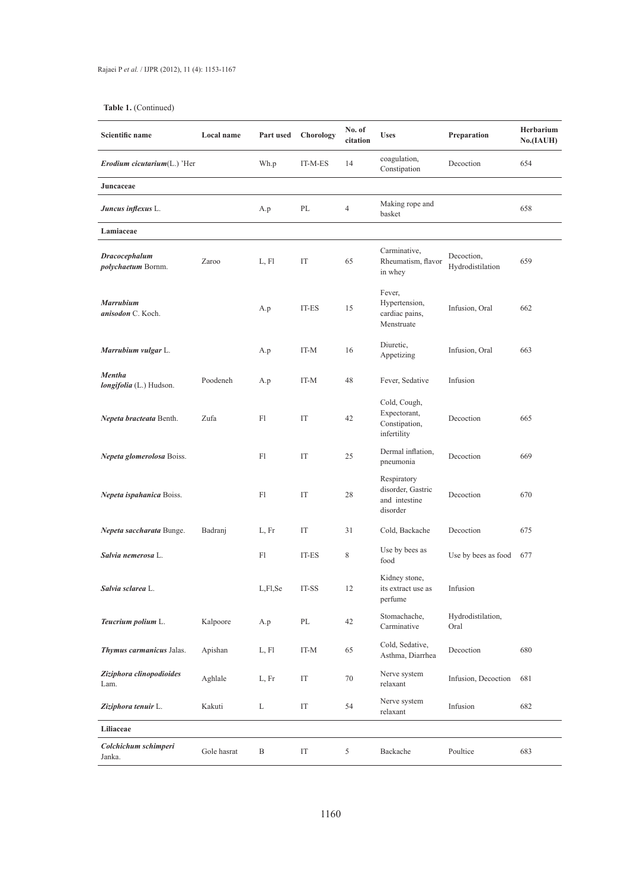| Scientific name                          | Local name  | Part used    | Chorology | No. of<br>citation | <b>Uses</b>                                                   | Preparation                    | Herbarium<br>No.(IAUH) |
|------------------------------------------|-------------|--------------|-----------|--------------------|---------------------------------------------------------------|--------------------------------|------------------------|
| <i>Erodium cicutarium</i> $(L)$ 'Her     |             | Wh.p         | IT-M-ES   | 14                 | coagulation,<br>Constipation                                  | Decoction                      | 654                    |
| Juncaceae                                |             |              |           |                    |                                                               |                                |                        |
| <b>Juncus inflexus L.</b>                |             | A.p          | PL        | $\overline{4}$     | Making rope and<br>basket                                     |                                | 658                    |
| Lamiaceae                                |             |              |           |                    |                                                               |                                |                        |
| Dracocephalum<br>polychaetum Bornm.      | Zaroo       | L, Fl        | IT        | 65                 | Carminative,<br>Rheumatism, flavor<br>in whey                 | Decoction,<br>Hydrodistilation | 659                    |
| <b>Marrubium</b><br>anisodon C. Koch.    |             | A.p          | IT-ES     | 15                 | Fever,<br>Hypertension,<br>cardiac pains,<br>Menstruate       | Infusion, Oral                 | 662                    |
| Marrubium vulgar L.                      |             | A.p          | IT-M      | 16                 | Diuretic,<br>Appetizing                                       | Infusion, Oral                 | 663                    |
| <b>Mentha</b><br>longifolia (L.) Hudson. | Poodeneh    | A.p          | IT-M      | 48                 | Fever, Sedative                                               | Infusion                       |                        |
| Nepeta bracteata Benth.                  | Zufa        | Fl           | IT        | 42                 | Cold, Cough,<br>Expectorant,<br>Constipation,<br>infertility  | Decoction                      | 665                    |
| Nepeta glomerolosa Boiss.                |             | Fl           | IT        | 25                 | Dermal inflation,<br>pneumonia                                | Decoction                      | 669                    |
| Nepeta ispahanica Boiss.                 |             | Fl           | IT        | 28                 | Respiratory<br>disorder, Gastric<br>and intestine<br>disorder | Decoction                      | 670                    |
| Nepeta saccharata Bunge.                 | Badranj     | L, Fr        | IT        | 31                 | Cold, Backache                                                | Decoction                      | 675                    |
| Salvia nemerosa L.                       |             | Fl           | IT-ES     | 8                  | Use by bees as<br>food                                        | Use by bees as food            | 677                    |
| Salvia sclarea L.                        |             | L,Fl,Se      | IT-SS     | 12                 | Kidney stone,<br>its extract use as<br>perfume                | Infusion                       |                        |
| Teucrium polium L.                       | Kalpoore    | A.p          | $\rm PL$  | 42                 | Stomachache,<br>Carminative                                   | Hydrodistilation,<br>Oral      |                        |
| Thymus carmanicus Jalas.                 | Apishan     | L, Fl        | IT-M      | 65                 | Cold, Sedative,<br>Asthma, Diarrhea                           | Decoction                      | 680                    |
| Ziziphora clinopodioides<br>Lam.         | Aghlale     | L, Fr        | IT        | 70                 | Nerve system<br>relaxant                                      | Infusion, Decoction            | 681                    |
| Ziziphora tenuir L.                      | Kakuti      | L            | IT        | 54                 | Nerve system<br>relaxant                                      | Infusion                       | 682                    |
| Liliaceae                                |             |              |           |                    |                                                               |                                |                        |
| Colchichum schimperi<br>Janka.           | Gole hasrat | $\, {\bf B}$ | IT        | 5                  | Backache                                                      | Poultice                       | 683                    |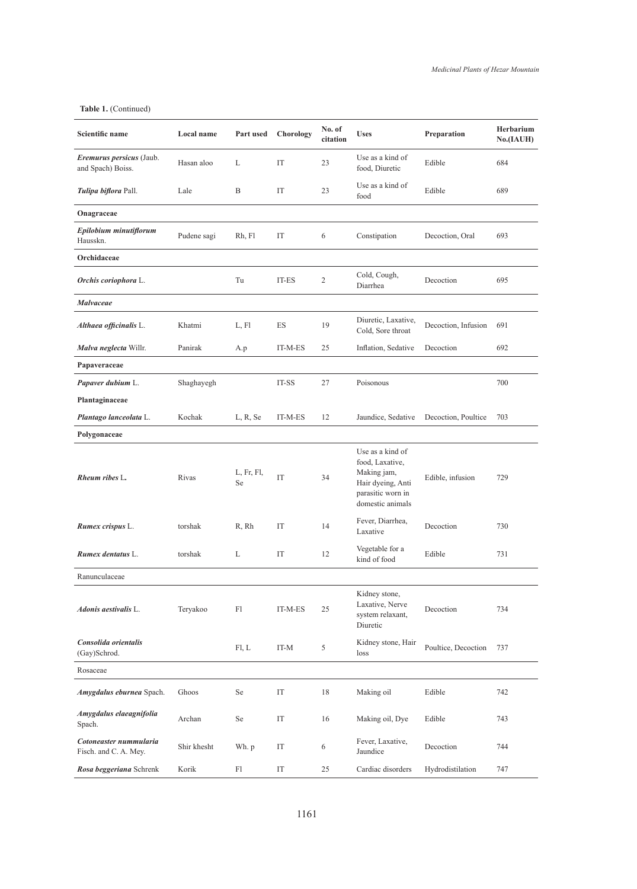| <b>Scientific name</b>                          | Local name  | Part used        | Chorology           | No. of<br>citation | <b>Uses</b>                                                                                                      | Preparation         | Herbarium<br>No.(IAUH) |
|-------------------------------------------------|-------------|------------------|---------------------|--------------------|------------------------------------------------------------------------------------------------------------------|---------------------|------------------------|
| Eremurus persicus (Jaub.<br>and Spach) Boiss.   | Hasan aloo  | L                | IT                  | 23                 | Use as a kind of<br>food, Diuretic                                                                               | Edible              | 684                    |
| Tulipa biflora Pall.                            | Lale        | B                | IT                  | 23                 | Use as a kind of<br>food                                                                                         | Edible              | 689                    |
| Onagraceae                                      |             |                  |                     |                    |                                                                                                                  |                     |                        |
| Epilobium minutiflorum<br>Hausskn.              | Pudene sagi | Rh, Fl           | IT                  | 6                  | Constipation                                                                                                     | Decoction, Oral     | 693                    |
| Orchidaceae                                     |             |                  |                     |                    |                                                                                                                  |                     |                        |
| Orchis coriophora L.                            |             | Tu               | IT-ES               | 2                  | Cold, Cough,<br>Diarrhea                                                                                         | Decoction           | 695                    |
| Malvaceae                                       |             |                  |                     |                    |                                                                                                                  |                     |                        |
| Althaea officinalis L.                          | Khatmi      | L, Fl            | ES                  | 19                 | Diuretic, Laxative,<br>Cold, Sore throat                                                                         | Decoction, Infusion | 691                    |
| Malva neglecta Willr.                           | Panirak     | A.p              | IT-M-ES             | 25                 | Inflation, Sedative                                                                                              | Decoction           | 692                    |
| Papaveraceae                                    |             |                  |                     |                    |                                                                                                                  |                     |                        |
| <b>Papaver dubium L.</b>                        | Shaghayegh  |                  | IT-SS               | 27                 | Poisonous                                                                                                        |                     | 700                    |
| Plantaginaceae                                  |             |                  |                     |                    |                                                                                                                  |                     |                        |
| Plantago lanceolata L.                          | Kochak      | L, R, Se         | IT-M-ES             | 12                 | Jaundice, Sedative                                                                                               | Decoction, Poultice | 703                    |
| Polygonaceae                                    |             |                  |                     |                    |                                                                                                                  |                     |                        |
| Rheum ribes L.                                  | Rivas       | L, Fr, Fl,<br>Se | IT                  | 34                 | Use as a kind of<br>food, Laxative,<br>Making jam,<br>Hair dyeing, Anti<br>parasitic worn in<br>domestic animals | Edible, infusion    | 729                    |
| <b>Rumex crispus L.</b>                         | torshak     | R, Rh            | IT                  | 14                 | Fever, Diarrhea,<br>Laxative                                                                                     | Decoction           | 730                    |
| Rumex dentatus L.                               | torshak     | L                | IT                  | 12                 | Vegetable for a<br>kind of food                                                                                  | Edible              | 731                    |
| Ranunculaceae                                   |             |                  |                     |                    |                                                                                                                  |                     |                        |
| Adonis aestivalis L.                            | Teryakoo    | F1               | IT-M-ES             | 25                 | Kidney stone,<br>Laxative, Nerve<br>system relaxant,<br>Diuretic                                                 | Decoction           | 734                    |
| Consolida orientalis<br>(Gay)Schrod.            |             | Fl, L            | IT-M                | 5                  | Kidney stone, Hair<br>loss                                                                                       | Poultice, Decoction | 737                    |
| Rosaceae                                        |             |                  |                     |                    |                                                                                                                  |                     |                        |
| Amygdalus eburnea Spach.                        | Ghoos       | Se               | IT                  | 18                 | Making oil                                                                                                       | Edible              | 742                    |
| Amygdalus elaeagnifolia<br>Spach.               | Archan      | Se               | IT                  | 16                 | Making oil, Dye                                                                                                  | Edible              | 743                    |
| Cotoneaster nummularia<br>Fisch. and C. A. Mey. | Shir khesht | Wh. p            | $\operatorname{IT}$ | 6                  | Fever, Laxative,<br>Jaundice                                                                                     | Decoction           | 744                    |
| Rosa beggeriana Schrenk                         | Korik       | Fl               | IT                  | 25                 | Cardiac disorders                                                                                                | Hydrodistilation    | 747                    |
|                                                 |             |                  |                     |                    |                                                                                                                  |                     |                        |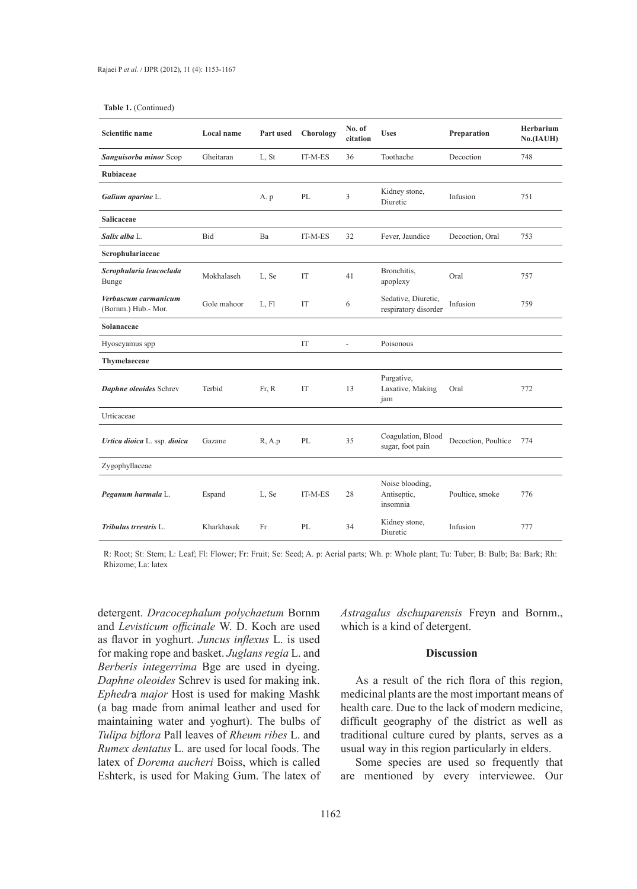| Scientific name                             | Local name  | Part used | Chorology | No. of<br>citation       | <b>Uses</b>                                 | Preparation         | Herbarium<br>No.(IAUH) |
|---------------------------------------------|-------------|-----------|-----------|--------------------------|---------------------------------------------|---------------------|------------------------|
| Sanguisorba minor Scop                      | Gheitaran   | L, St     | IT-M-ES   | 36                       | Toothache                                   | Decoction           | 748                    |
| Rubiaceae                                   |             |           |           |                          |                                             |                     |                        |
| Galium aparine L.                           |             | A. p      | PL        | 3                        | Kidney stone,<br>Diuretic                   | Infusion            | 751                    |
| Salicaceae                                  |             |           |           |                          |                                             |                     |                        |
| Salix alba L.                               | Bid         | Ba        | IT-M-ES   | 32                       | Fever, Jaundice                             | Decoction, Oral     | 753                    |
| Scrophulariaceae                            |             |           |           |                          |                                             |                     |                        |
| Scrophularia leucoclada<br><b>Bunge</b>     | Mokhalaseh  | L, Se     | IT        | 41                       | Bronchitis,<br>apoplexy                     | Oral                | 757                    |
| Verbascum carmanicum<br>(Bornm.) Hub.- Mor. | Gole mahoor | L, Fl     | IT        | 6                        | Sedative, Diuretic,<br>respiratory disorder | Infusion            | 759                    |
| Solanaceae                                  |             |           |           |                          |                                             |                     |                        |
| Hyoscyamus spp                              |             |           | IT        | $\overline{\phantom{0}}$ | Poisonous                                   |                     |                        |
| Thymelaeceae                                |             |           |           |                          |                                             |                     |                        |
| Daphne oleoides Schrev                      | Terbid      | Fr, R     | IT        | 13                       | Purgative,<br>Laxative, Making<br>jam       | Oral                | 772                    |
| Urticaceae                                  |             |           |           |                          |                                             |                     |                        |
| Urtica dioica L. ssp. dioica                | Gazane      | R, A.p    | PL        | 35                       | Coagulation, Blood<br>sugar, foot pain      | Decoction, Poultice | 774                    |
| Zygophyllaceae                              |             |           |           |                          |                                             |                     |                        |
| Peganum harmala L.                          | Espand      | L, Se     | IT-M-ES   | 28                       | Noise blooding,<br>Antiseptic,<br>insomnia  | Poultice, smoke     | 776                    |
| Tribulus trrestris L.                       | Kharkhasak  | Fr        | PL        | 34                       | Kidney stone,<br>Diuretic                   | Infusion            | 777                    |

R: Root; St: Stem; L: Leaf; Fl: Flower; Fr: Fruit; Se: Seed; A. p: Aerial parts; Wh. p: Whole plant; Tu: Tuber; B: Bulb; Ba: Bark; Rh: Rhizome; La: latex

detergent. *Dracocephalum polychaetum* Bornm and *Levisticum officinale* W. D. Koch are used as flavor in yoghurt. *Juncus inflexus* L. is used for making rope and basket. *Juglans regia* L. and *Berberis integerrima* Bge are used in dyeing. *Daphne oleoides* Schrev is used for making ink. *Ephedr*a *major* Host is used for making Mashk (a bag made from animal leather and used for maintaining water and yoghurt). The bulbs of *Tulipa biflora* Pall leaves of *Rheum ribes* L. and *Rumex dentatus* L. are used for local foods. The latex of *Dorema aucheri* Boiss, which is called Eshterk, is used for Making Gum. The latex of *Astragalus dschuparensis* Freyn and Bornm., which is a kind of detergent.

# **Discussion**

As a result of the rich flora of this region, medicinal plants are the most important means of health care. Due to the lack of modern medicine, difficult geography of the district as well as traditional culture cured by plants, serves as a usual way in this region particularly in elders.

Some species are used so frequently that are mentioned by every interviewee. Our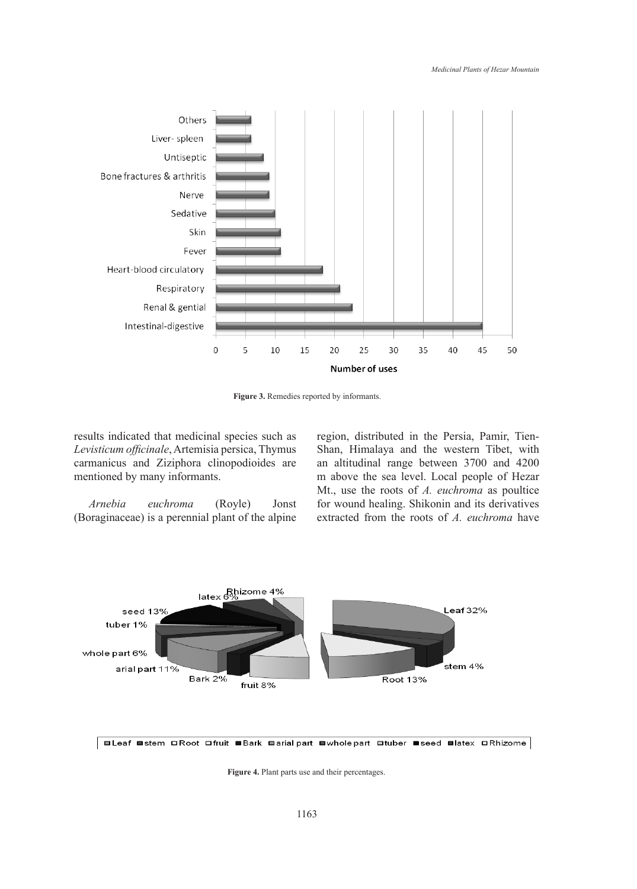

**Figure 3.** Remedies reported by informants.

results indicated that medicinal species such as *Levisticum officinale*, Artemisia persica, Thymus carmanicus and Ziziphora clinopodioides are mentioned by many informants.

*Arnebia euchroma* (Royle) Jonst (Boraginaceae) is a perennial plant of the alpine region, distributed in the Persia, Pamir, Tien-Shan, Himalaya and the western Tibet, with an altitudinal range between 3700 and 4200 m above the sea level. Local people of Hezar Mt., use the roots of *A. euchroma* as poultice for wound healing. Shikonin and its derivatives extracted from the roots of *A. euchroma* have





**Figure 4.** Plant parts use and their percentages.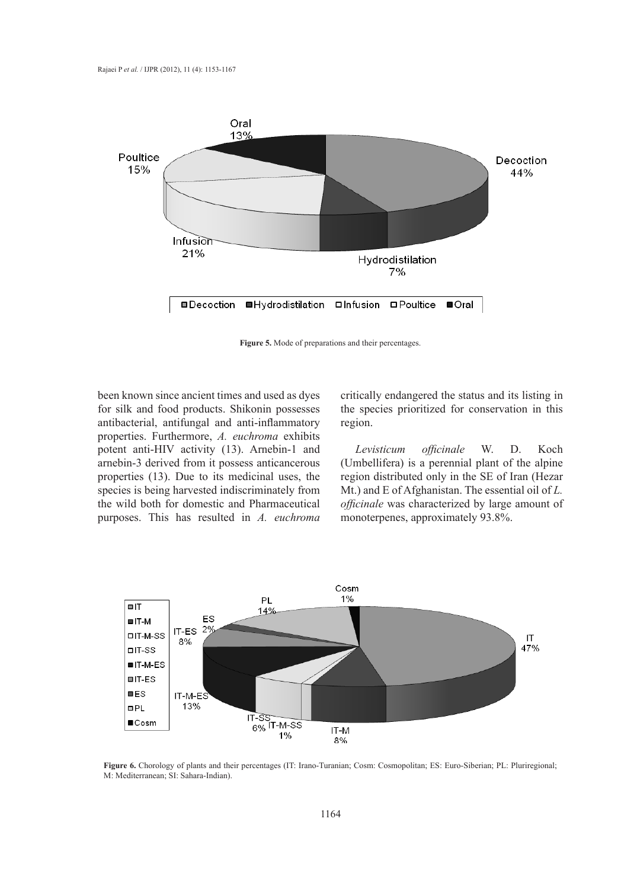

**Figure 5.** Mode of preparations and their percentages.

been known since ancient times and used as dyes for silk and food products. Shikonin possesses antibacterial, antifungal and anti-inflammatory properties. Furthermore, *A. euchroma* exhibits potent anti-HIV activity (13). Arnebin-1 and arnebin-3 derived from it possess anticancerous properties (13). Due to its medicinal uses, the species is being harvested indiscriminately from the wild both for domestic and Pharmaceutical purposes. This has resulted in *A. euchroma*

critically endangered the status and its listing in the species prioritized for conservation in this region.

*Levisticum officinale* W. D. Koch (Umbellifera) is a perennial plant of the alpine region distributed only in the SE of Iran (Hezar Mt.) and E of Afghanistan. The essential oil of *L. officinale* was characterized by large amount of monoterpenes, approximately 93.8%.



**Figure 6.** Chorology of plants and their percentages (IT: Irano-Turanian; Cosm: Cosmopolitan; ES: Euro-Siberian; PL: Pluriregional; M: Mediterranean; SI: Sahara-Indian).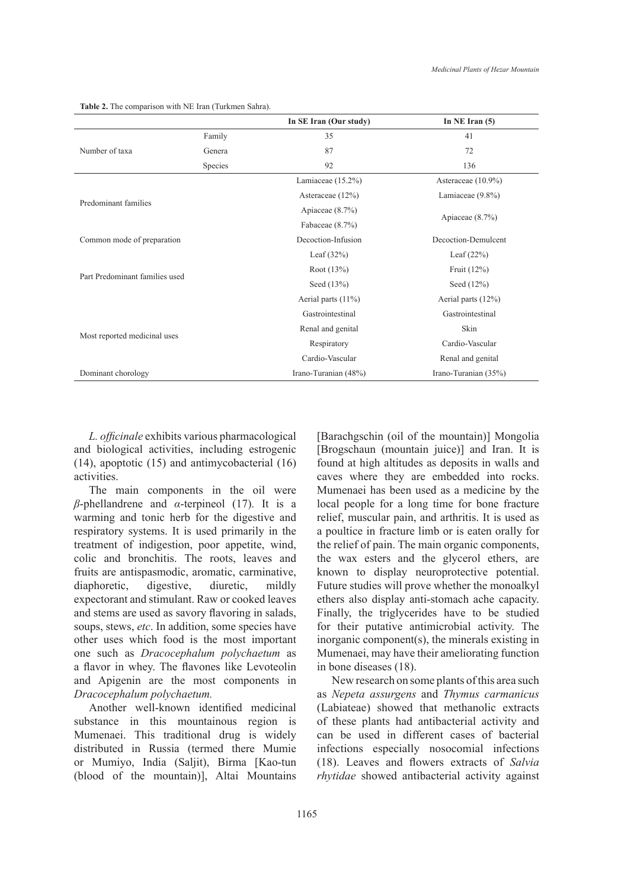**Table 2.** The comparison with NE Iran (Turkmen Sahra).

|                                |         | In SE Iran (Our study) | In NE Iran $(5)$      |  |
|--------------------------------|---------|------------------------|-----------------------|--|
|                                | Family  | 35                     | 41                    |  |
| Number of taxa                 | Genera  | 87                     | 72                    |  |
|                                | Species | 92                     | 136                   |  |
|                                |         | Lamiaceae $(15.2\%)$   | Asteraceae (10.9%)    |  |
|                                |         | Asteraceae (12%)       | Lamiaceae $(9.8\%)$   |  |
| Predominant families           |         | Apiaceae $(8.7\%)$     |                       |  |
|                                |         | Fabaceae $(8.7\%)$     | Apiaceae $(8.7\%)$    |  |
| Common mode of preparation     |         | Decoction-Infusion     | Decoction-Demulcent   |  |
|                                |         | Leaf $(32\%)$          | Leaf $(22\%)$         |  |
|                                |         | Root $(13%)$           | Fruit $(12\%)$        |  |
| Part Predominant families used |         | Seed (13%)             | Seed $(12%)$          |  |
|                                |         | Aerial parts $(11\%)$  | Aerial parts $(12\%)$ |  |
| Most reported medicinal uses   |         | Gastrointestinal       | Gastrointestinal      |  |
|                                |         | Renal and genital      | Skin                  |  |
|                                |         | Respiratory            | Cardio-Vascular       |  |
|                                |         | Cardio-Vascular        | Renal and genital     |  |
| Dominant chorology             |         | Irano-Turanian (48%)   | Irano-Turanian (35%)  |  |

*L. officinale* exhibits various pharmacological and biological activities, including estrogenic (14), apoptotic (15) and antimycobacterial (16) activities.

The main components in the oil were *β*-phellandrene and *α*-terpineol (17). It is a warming and tonic herb for the digestive and respiratory systems. It is used primarily in the treatment of indigestion, poor appetite, wind, colic and bronchitis. The roots, leaves and fruits are antispasmodic, aromatic, carminative, diaphoretic, digestive, diuretic, mildly expectorant and stimulant. Raw or cooked leaves and stems are used as savory flavoring in salads, soups, stews, *etc*. In addition, some species have other uses which food is the most important one such as *Dracocephalum polychaetum* as a flavor in whey. The flavones like Levoteolin and Apigenin are the most components in *Dracocephalum polychaetum.*

Another well-known identified medicinal substance in this mountainous region is Mumenaei. This traditional drug is widely distributed in Russia (termed there Mumie or Mumiyo, India (Saljit), Birma [Kao-tun (blood of the mountain)], Altai Mountains [Barachgschin (oil of the mountain)] Mongolia [Brogschaun (mountain juice)] and Iran. It is found at high altitudes as deposits in walls and caves where they are embedded into rocks. Mumenaei has been used as a medicine by the local people for a long time for bone fracture relief, muscular pain, and arthritis. It is used as a poultice in fracture limb or is eaten orally for the relief of pain. The main organic components, the wax esters and the glycerol ethers, are known to display neuroprotective potential. Future studies will prove whether the monoalkyl ethers also display anti-stomach ache capacity. Finally, the triglycerides have to be studied for their putative antimicrobial activity. The inorganic component(s), the minerals existing in Mumenaei, may have their ameliorating function in bone diseases (18).

New research on some plants of this area such as *Nepeta assurgens* and *Thymus carmanicus* (Labiateae) showed that methanolic extracts of these plants had antibacterial activity and can be used in different cases of bacterial infections especially nosocomial infections (18). Leaves and flowers extracts of *Salvia rhytidae* showed antibacterial activity against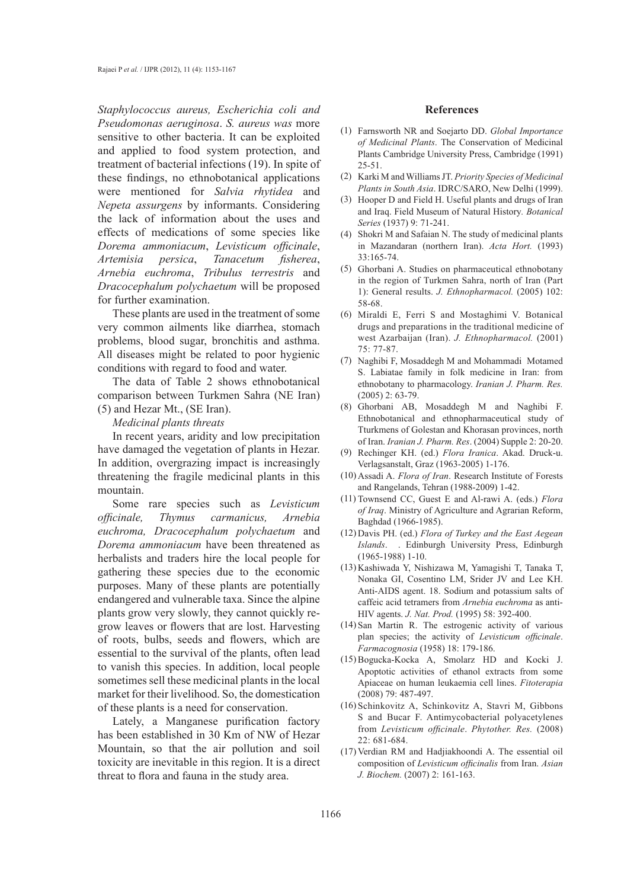*Staphylococcus aureus, Escherichia coli and Pseudomonas aeruginosa*. *S. aureus was* more sensitive to other bacteria. It can be exploited and applied to food system protection, and treatment of bacterial infections (19). In spite of these findings, no ethnobotanical applications were mentioned for *Salvia rhytidea* and *Nepeta assurgens* by informants. Considering the lack of information about the uses and effects of medications of some species like *Dorema ammoniacum*, *Levisticum officinale*, *Artemisia persica*, *Tanacetum fisherea*, *Arnebia euchroma*, *Tribulus terrestris* and *Dracocephalum polychaetum* will be proposed for further examination.

These plants are used in the treatment of some very common ailments like diarrhea, stomach problems, blood sugar, bronchitis and asthma. All diseases might be related to poor hygienic conditions with regard to food and water.

The data of Table 2 shows ethnobotanical comparison between Turkmen Sahra (NE Iran) (5) and Hezar Mt., (SE Iran).

*Medicinal plants threats*

In recent years, aridity and low precipitation have damaged the vegetation of plants in Hezar. In addition, overgrazing impact is increasingly threatening the fragile medicinal plants in this mountain.

Some rare species such as *Levisticum officinale, Thymus carmanicus, Arnebia euchroma, Dracocephalum polychaetum* and *Dorema ammoniacum* have been threatened as herbalists and traders hire the local people for gathering these species due to the economic purposes. Many of these plants are potentially endangered and vulnerable taxa. Since the alpine plants grow very slowly, they cannot quickly regrow leaves or flowers that are lost. Harvesting of roots, bulbs, seeds and flowers, which are essential to the survival of the plants, often lead to vanish this species. In addition, local people sometimes sell these medicinal plants in the local market for their livelihood. So, the domestication of these plants is a need for conservation.

Lately, a Manganese purification factory has been established in 30 Km of NW of Hezar Mountain, so that the air pollution and soil toxicity are inevitable in this region. It is a direct threat to flora and fauna in the study area.

#### **References**

- Farnsworth NR and Soejarto DD. *Global Importance*  (1) *of Medicinal Plants*. The Conservation of Medicinal Plants Cambridge University Press, Cambridge (1991) 25-51.
- Karki M and Williams JT. *Priority Species of Medicinal*  (2) *Plants in South Asia*. IDRC/SARO, New Delhi (1999).
- (3) Hooper D and Field H. Useful plants and drugs of Iran and Iraq. Field Museum of Natural History*. Botanical Series* (1937) 9: 71-241.
- Shokri M and Safaian N. The study of medicinal plants (4) in Mazandaran (northern Iran). *Acta Hort.* (1993) 33:165-74.
- Ghorbani A. Studies on pharmaceutical ethnobotany (5) in the region of Turkmen Sahra, north of Iran (Part 1): General results. *J. Ethnopharmacol.* (2005) 102: 58-68.
- (6) Miraldi E, Ferri S and Mostaghimi V. Botanical drugs and preparations in the traditional medicine of west Azarbaijan (Iran). *J. Ethnopharmacol.* (2001) 75: 77-87.
- (7) Naghibi F, Mosaddegh M and Mohammadi Motamed S. Labiatae family in folk medicine in Iran: from ethnobotany to pharmacology. *Iranian J. Pharm. Res.* (2005) 2: 63-79.
- Ghorbani AB, Mosaddegh M and Naghibi F. (8) Ethnobotanical and ethnopharmaceutical study of Tturkmens of Golestan and Khorasan provinces, north of Iran. *Iranian J. Pharm. Res*. (2004) Supple 2: 20-20.
- Rechinger KH. (ed.) *Flora Iranica*. Akad. Druck-u. Verlagsanstalt, Graz (1963-2005) 1-176. (9)
- (10) Assadi A. *Flora of Iran*. Research Institute of Forests and Rangelands, Tehran (1988-2009) 1-42.
- (11) Townsend CC, Guest E and Al-rawi A. (eds.) *Flora of Iraq*. Ministry of Agriculture and Agrarian Reform, Baghdad (1966-1985).
- Davis PH. (ed.) *Flora of Turkey and the East Aegean*  (12) *Islands*. . Edinburgh University Press, Edinburgh (1965-1988) 1-10.
- (13) Kashiwada Y, Nishizawa M, Yamagishi T, Tanaka T, Nonaka GI, Cosentino LM, Srider JV and Lee KH. Anti-AIDS agent. 18. Sodium and potassium salts of caffeic acid tetramers from *Arnebia euchroma* as anti-HIV agents. *J. Nat. Prod.* (1995) 58: 392-400.
- $(14)$  San Martin R. The estrogenic activity of various plan species; the activity of *Levisticum officinale*. *Farmacognosia* (1958) 18: 179-186.
- Bogucka-Kocka A, Smolarz HD and Kocki J. (15) Apoptotic activities of ethanol extracts from some Apiaceae on human leukaemia cell lines. *Fitoterapia* (2008) 79: 487-497.
- (16) Schinkovitz A, Schinkovitz A, Stavri M, Gibbons S and Bucar F. Antimycobacterial polyacetylenes from *Levisticum officinale*. *Phytother. Res.* (2008) 22: 681-684.
- (17) Verdian RM and Hadjiakhoondi A. The essential oil composition of *Levisticum officinalis* from Iran. *Asian J. Biochem.* (2007) 2: 161-163.